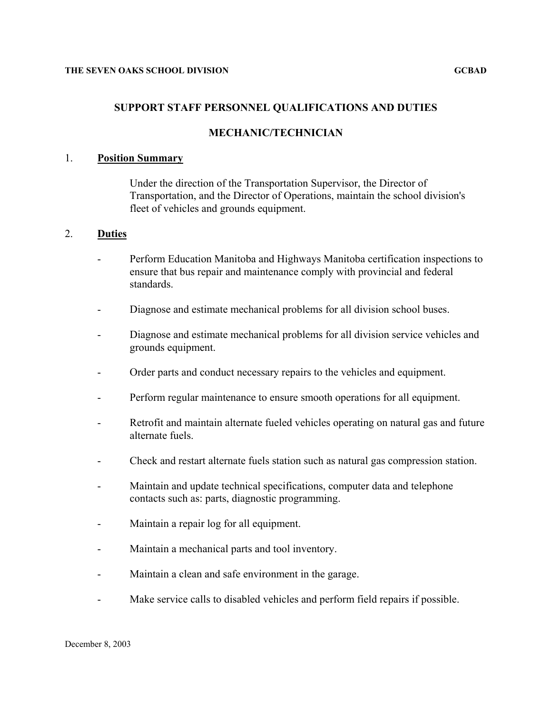### **SUPPORT STAFF PERSONNEL QUALIFICATIONS AND DUTIES**

# **MECHANIC/TECHNICIAN**

#### 1. **Position Summary**

Under the direction of the Transportation Supervisor, the Director of Transportation, and the Director of Operations, maintain the school division's fleet of vehicles and grounds equipment.

### 2. **Duties**

- Perform Education Manitoba and Highways Manitoba certification inspections to ensure that bus repair and maintenance comply with provincial and federal standards.
- Diagnose and estimate mechanical problems for all division school buses.
- Diagnose and estimate mechanical problems for all division service vehicles and grounds equipment.
- Order parts and conduct necessary repairs to the vehicles and equipment.
- Perform regular maintenance to ensure smooth operations for all equipment.
- Retrofit and maintain alternate fueled vehicles operating on natural gas and future alternate fuels.
- Check and restart alternate fuels station such as natural gas compression station.
- Maintain and update technical specifications, computer data and telephone contacts such as: parts, diagnostic programming.
- Maintain a repair log for all equipment.
- Maintain a mechanical parts and tool inventory.
- Maintain a clean and safe environment in the garage.
- Make service calls to disabled vehicles and perform field repairs if possible.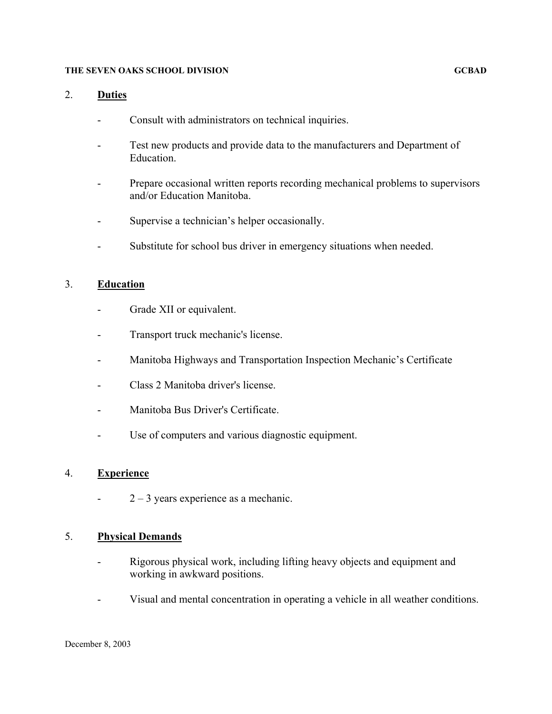#### **THE SEVEN OAKS SCHOOL DIVISION GCBAD**

# 2. **Duties**

- Consult with administrators on technical inquiries.
- Test new products and provide data to the manufacturers and Department of Education.
- Prepare occasional written reports recording mechanical problems to supervisors and/or Education Manitoba.
- Supervise a technician's helper occasionally.
- Substitute for school bus driver in emergency situations when needed.

### 3. **Education**

- Grade XII or equivalent.
- Transport truck mechanic's license.
- Manitoba Highways and Transportation Inspection Mechanic's Certificate
- Class 2 Manitoba driver's license.
- Manitoba Bus Driver's Certificate.
- Use of computers and various diagnostic equipment.

### 4. **Experience**

 $-2-3$  years experience as a mechanic.

## 5. **Physical Demands**

- Rigorous physical work, including lifting heavy objects and equipment and working in awkward positions.
- Visual and mental concentration in operating a vehicle in all weather conditions.